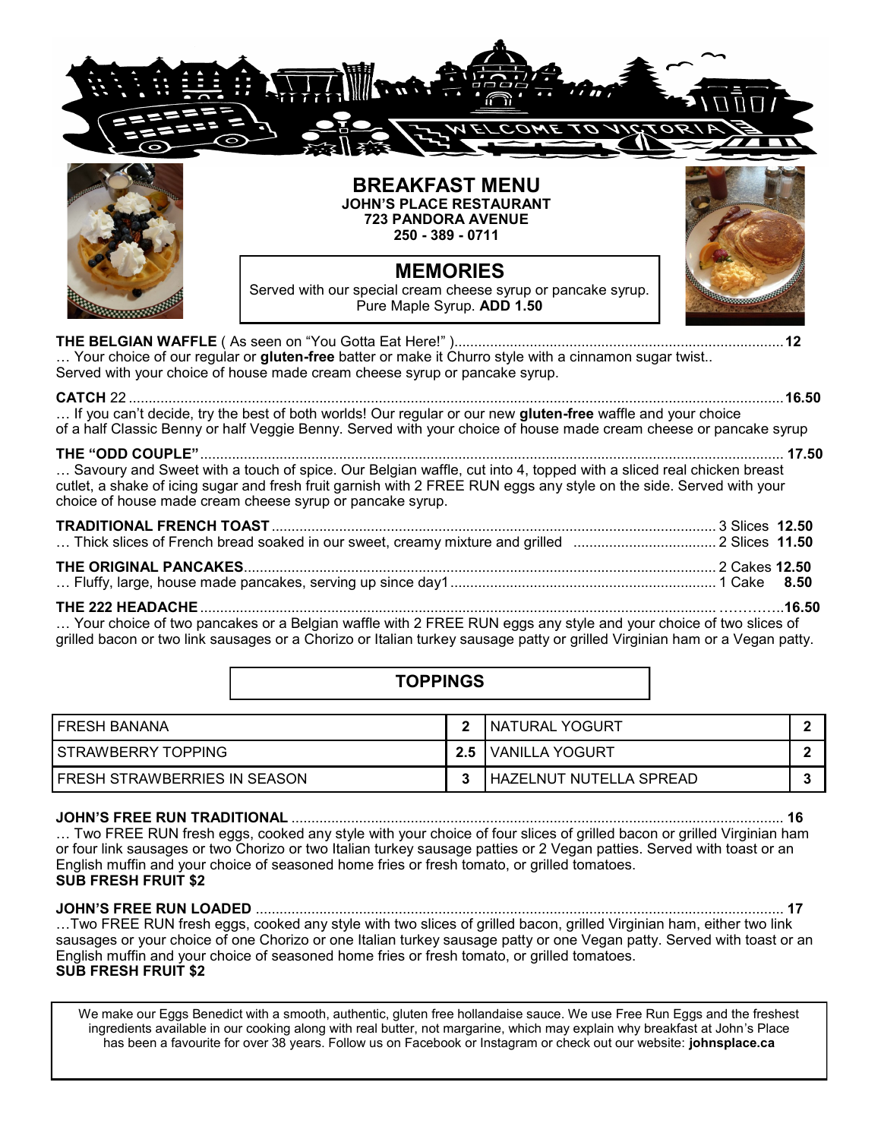

**THE BELGIAN WAFFLE** ( As seen on "You Gotta Eat Here!" )...................................................................................**12** … Your choice of our regular or **gluten-free** batter or make it Churro style with a cinnamon sugar twist.. Served with your choice of house made cream cheese syrup or pancake syrup.

**CATCH** 22 .....................................................................................................................................................................**16.50** … If you can't decide, try the best of both worlds! Our regular or our new **gluten-free** waffle and your choice of a half Classic Benny or half Veggie Benny. Served with your choice of house made cream cheese or pancake syrup

### **THE "ODD COUPLE"**................................................................................................................................................... **17.50**

… Savoury and Sweet with a touch of spice. Our Belgian waffle, cut into 4, topped with a sliced real chicken breast cutlet, a shake of icing sugar and fresh fruit garnish with 2 FREE RUN eggs any style on the side. Served with your choice of house made cream cheese syrup or pancake syrup.

… Your choice of two pancakes or a Belgian waffle with 2 FREE RUN eggs any style and your choice of two slices of grilled bacon or two link sausages or a Chorizo or Italian turkey sausage patty or grilled Virginian ham or a Vegan patty.

|                              | <b>TOPPINGS</b> |                                |  |
|------------------------------|-----------------|--------------------------------|--|
| <b>FRESH BANANA</b>          | $\mathcal{P}$   | <b>INATURAL YOGURT</b>         |  |
| STRAWBERRY TOPPING           | 2.5             | <b>VANILLA YOGURT</b>          |  |
| FRESH STRAWBERRIES IN SEASON |                 | <b>HAZELNUT NUTELLA SPREAD</b> |  |

## **JOHN'S FREE RUN TRADITIONAL** ............................................................................................................................ **16**

… Two FREE RUN fresh eggs, cooked any style with your choice of four slices of grilled bacon or grilled Virginian ham or four link sausages or two Chorizo or two Italian turkey sausage patties or 2 Vegan patties. Served with toast or an English muffin and your choice of seasoned home fries or fresh tomato, or grilled tomatoes. **SUB FRESH FRUIT \$2**

**JOHN'S FREE RUN LOADED** ..................................................................................................................................... **17** …Two FREE RUN fresh eggs, cooked any style with two slices of grilled bacon, grilled Virginian ham, either two link sausages or your choice of one Chorizo or one Italian turkey sausage patty or one Vegan patty. Served with toast or an English muffin and your choice of seasoned home fries or fresh tomato, or grilled tomatoes. **SUB FRESH FRUIT \$2**

We make our Eggs Benedict with a smooth, authentic, gluten free hollandaise sauce. We use Free Run Eggs and the freshest ingredients available in our cooking along with real butter, not margarine, which may explain why breakfast at John's Place has been a favourite for over 38 years. Follow us on Facebook or Instagram or check out our website: **johnsplace.ca**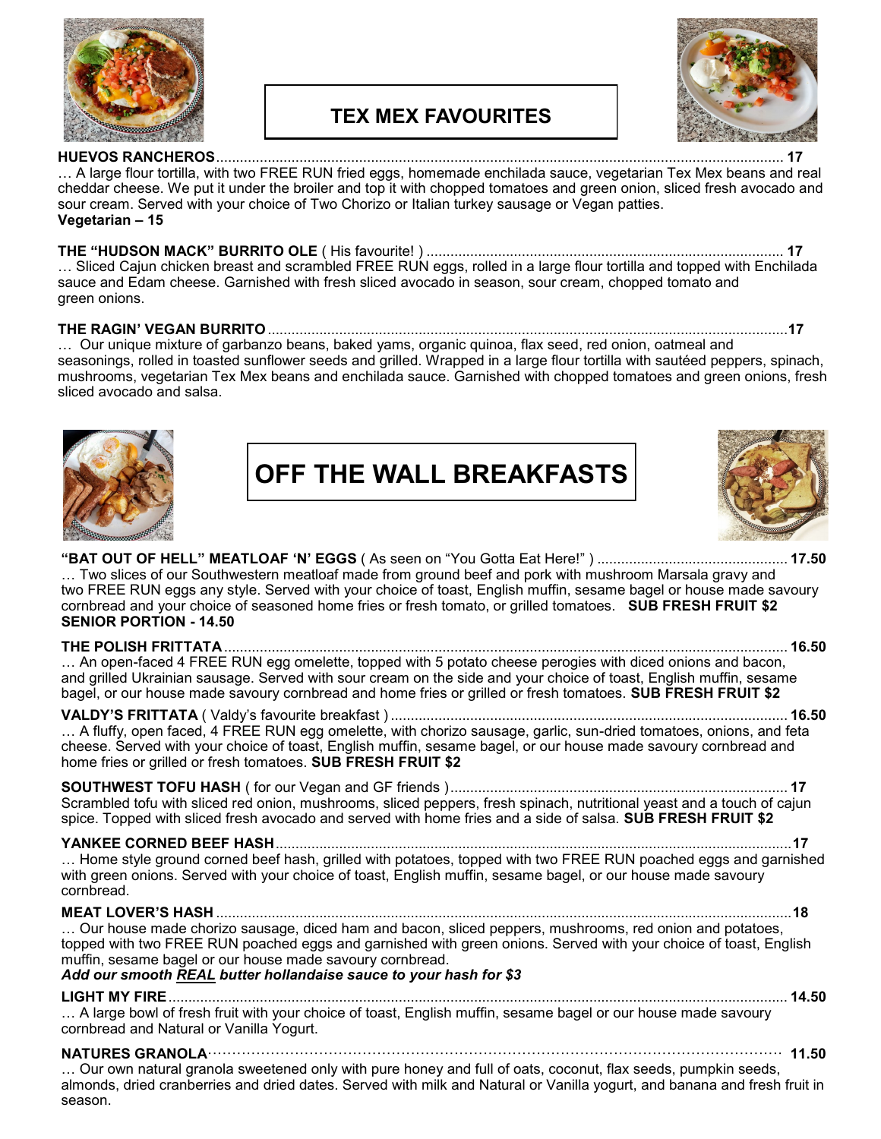

# **TEX MEX FAVOURITES**



**HUEVOS RANCHEROS**............................................................................................................................................... **17** … A large flour tortilla, with two FREE RUN fried eggs, homemade enchilada sauce, vegetarian Tex Mex beans and real cheddar cheese. We put it under the broiler and top it with chopped tomatoes and green onion, sliced fresh avocado and sour cream. Served with your choice of Two Chorizo or Italian turkey sausage or Vegan patties. **Vegetarian – 15**

## **THE "HUDSON MACK" BURRITO OLE** ( His favourite! ) .......................................................................................... **17**

… Sliced Cajun chicken breast and scrambled FREE RUN eggs, rolled in a large flour tortilla and topped with Enchilada sauce and Edam cheese. Garnished with fresh sliced avocado in season, sour cream, chopped tomato and green onions.

### **THE RAGIN' VEGAN BURRITO**...................................................................................................................................**17**

… Our unique mixture of garbanzo beans, baked yams, organic quinoa, flax seed, red onion, oatmeal and seasonings, rolled in toasted sunflower seeds and grilled. Wrapped in a large flour tortilla with sautéed peppers, spinach, mushrooms, vegetarian Tex Mex beans and enchilada sauce. Garnished with chopped tomatoes and green onions, fresh sliced avocado and salsa.



**OFF THE WALL BREAKFASTS**



## **"BAT OUT OF HELL" MEATLOAF 'N' EGGS** ( As seen on "You Gotta Eat Here!" ) ................................................ **17.50** … Two slices of our Southwestern meatloaf made from ground beef and pork with mushroom Marsala gravy and two FREE RUN eggs any style. Served with your choice of toast, English muffin, sesame bagel or house made savoury cornbread and your choice of seasoned home fries or fresh tomato, or grilled tomatoes. **SUB FRESH FRUIT \$2 SENIOR PORTION - 14.50**

**THE POLISH FRITTATA**.............................................................................................................................................. **16.50** … An open-faced 4 FREE RUN egg omelette, topped with 5 potato cheese perogies with diced onions and bacon, and grilled Ukrainian sausage. Served with sour cream on the side and your choice of toast, English muffin, sesame bagel, or our house made savoury cornbread and home fries or grilled or fresh tomatoes. **SUB FRESH FRUIT \$2** 

**VALDY'S FRITTATA** ( Valdy's favourite breakfast ) .................................................................................................... **16.50** ... A fluffy, open faced, 4 FREE RUN egg omelette, with chorizo sausage, garlic, sun-dried tomatoes, onions, and feta cheese. Served with your choice of toast, English muffin, sesame bagel, or our house made savoury cornbread and home fries or grilled or fresh tomatoes. **SUB FRESH FRUIT \$2** 

**SOUTHWEST TOFU HASH** ( for our Vegan and GF friends )..................................................................................... **17** Scrambled tofu with sliced red onion, mushrooms, sliced peppers, fresh spinach, nutritional yeast and a touch of cajun spice. Topped with sliced fresh avocado and served with home fries and a side of salsa. **SUB FRESH FRUIT \$2** 

**YANKEE CORNED BEEF HASH**..................................................................................................................................**17** … Home style ground corned beef hash, grilled with potatoes, topped with two FREE RUN poached eggs and garnished with green onions. Served with your choice of toast, English muffin, sesame bagel, or our house made savoury cornbread.

**MEAT LOVER'S HASH** .................................................................................................................................................**18** … Our house made chorizo sausage, diced ham and bacon, sliced peppers, mushrooms, red onion and potatoes, topped with two FREE RUN poached eggs and garnished with green onions. Served with your choice of toast, English muffin, sesame bagel or our house made savoury cornbread.

### *Add our smooth REAL butter hollandaise sauce to your hash for \$3*

**LIGHT MY FIRE**............................................................................................................................................................ **14.50** … A large bowl of fresh fruit with your choice of toast, English muffin, sesame bagel or our house made savoury cornbread and Natural or Vanilla Yogurt.

**NATURES GRANOLA**······················································································································· **11.50**

… Our own natural granola sweetened only with pure honey and full of oats, coconut, flax seeds, pumpkin seeds, almonds, dried cranberries and dried dates. Served with milk and Natural or Vanilla yogurt, and banana and fresh fruit in season.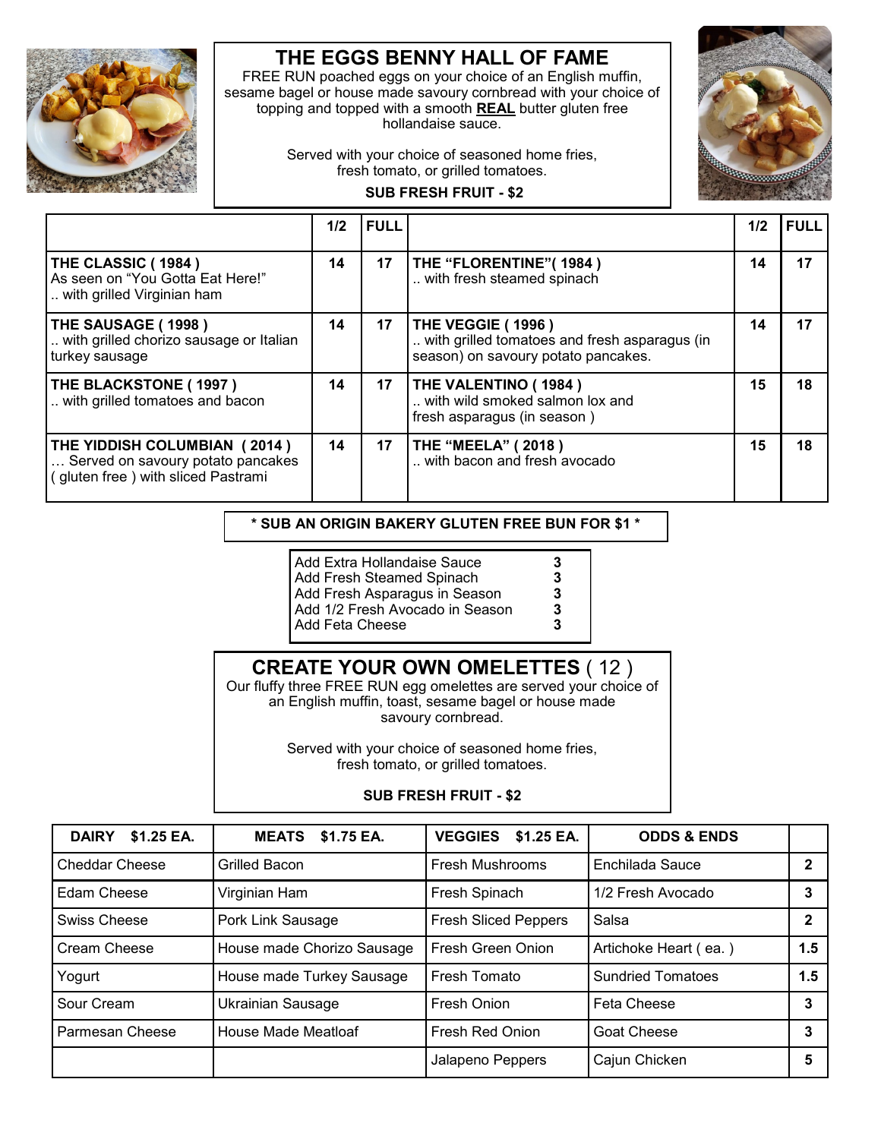

# **THE EGGS BENNY HALL OF FAME**

FREE RUN poached eggs on your choice of an English muffin, sesame bagel or house made savoury cornbread with your choice of topping and topped with a smooth **REAL** butter gluten free hollandaise sauce.

> Served with your choice of seasoned home fries, fresh tomato, or grilled tomatoes.



## **SUB FRESH FRUIT - \$2**

|                                                                                                        | 1/2 | <b>FULL</b> |                                                                                                                  | 1/2 | <b>FULL</b> |
|--------------------------------------------------------------------------------------------------------|-----|-------------|------------------------------------------------------------------------------------------------------------------|-----|-------------|
| THE CLASSIC (1984)<br>As seen on "You Gotta Eat Here!"<br>with grilled Virginian ham                   | 14  | 17          | THE "FLORENTINE" (1984)<br>with fresh steamed spinach                                                            | 14  | 17          |
| THE SAUSAGE (1998)<br>with grilled chorizo sausage or Italian<br>turkey sausage                        | 14  | 17          | <b>THE VEGGIE (1996)</b><br>with grilled tomatoes and fresh asparagus (in<br>season) on savoury potato pancakes. | 14  | 17          |
| THE BLACKSTONE (1997)<br>with grilled tomatoes and bacon                                               | 14  | 17          | <b>THE VALENTINO (1984)</b><br>with wild smoked salmon lox and<br>fresh asparagus (in season)                    | 15  | 18          |
| THE YIDDISH COLUMBIAN (2014)<br>Served on savoury potato pancakes<br>gluten free) with sliced Pastrami | 14  | 17          | <b>THE "MEELA" (2018)</b><br>with bacon and fresh avocado                                                        | 15  | 18          |

## **\* SUB AN ORIGIN BAKERY GLUTEN FREE BUN FOR \$1 \***

| Add Extra Hollandaise Sauce     | 3 |
|---------------------------------|---|
| Add Fresh Steamed Spinach       | 3 |
| Add Fresh Asparagus in Season   | 3 |
| Add 1/2 Fresh Avocado in Season | 3 |
| Add Feta Cheese                 | ર |

## **CREATE YOUR OWN OMELETTES** ( 12 )

Our fluffy three FREE RUN egg omelettes are served your choice of an English muffin, toast, sesame bagel or house made savoury cornbread.

> Served with your choice of seasoned home fries, fresh tomato, or grilled tomatoes.

## **SUB FRESH FRUIT - \$2**

| \$1.25 EA.<br><b>DAIRY</b> | <b>MEATS \$1.75 EA.</b>    | \$1.25 EA.<br><b>VEGGIES</b> | <b>ODDS &amp; ENDS</b>   |              |
|----------------------------|----------------------------|------------------------------|--------------------------|--------------|
| <b>Cheddar Cheese</b>      | Grilled Bacon              | <b>Fresh Mushrooms</b>       | Enchilada Sauce          | 2            |
| Edam Cheese                | Virginian Ham              | Fresh Spinach                | 1/2 Fresh Avocado        | 3            |
| Swiss Cheese               | Pork Link Sausage          | <b>Fresh Sliced Peppers</b>  | Salsa                    | $\mathbf{2}$ |
| Cream Cheese               | House made Chorizo Sausage | Fresh Green Onion            | Artichoke Heart (ea.)    | 1.5          |
| Yogurt                     | House made Turkey Sausage  | Fresh Tomato                 | <b>Sundried Tomatoes</b> | 1.5          |
| Sour Cream                 | <b>Ukrainian Sausage</b>   | Fresh Onion                  | <b>Feta Cheese</b>       | 3            |
| Parmesan Cheese            | House Made Meatloaf        | Fresh Red Onion              | <b>Goat Cheese</b>       | 3            |
|                            |                            | Jalapeno Peppers             | Cajun Chicken            | 5            |